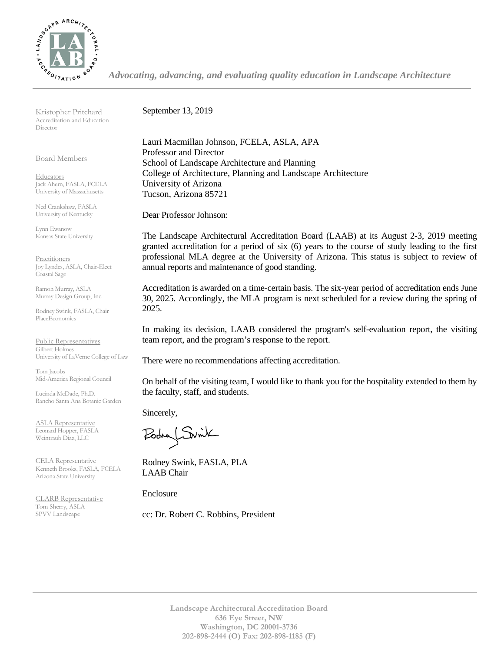

Kristopher Pritchard Accreditation and Education Director

Board Members

**Educators** Jack Ahern, FASLA, FCELA University of Massachusetts

Ned Crankshaw, FASLA University of Kentucky

Lynn Ewanow Kansas State University

**Practitioners** Joy Lyndes, ASLA, Chair-Elect Coastal Sage

Ramon Murray, ASLA Murray Design Group, Inc.

Rodney Swink, FASLA, Chair PlaceEconomics

Public Representatives Gilbert Holmes University of LaVerne College of Law

Tom Jacobs Mid-America Regional Council

Lucinda McDade, Ph.D. Rancho Santa Ana Botanic Garden

ASLA Representative Leonard Hopper, FASLA Weintraub Diaz, LLC

CELA Representative Kenneth Brooks, FASLA, FCELA Arizona State University

CLARB Representative Tom Sherry, ASLA SPVV Landscape

September 13, 2019

Lauri Macmillan Johnson, FCELA, ASLA, APA Professor and Director School of Landscape Architecture and Planning College of Architecture, Planning and Landscape Architecture University of Arizona Tucson, Arizona 85721

*Advocating, advancing, and evaluating quality education in Landscape Architecture*

Dear Professor Johnson:

The Landscape Architectural Accreditation Board (LAAB) at its August 2-3, 2019 meeting granted accreditation for a period of six (6) years to the course of study leading to the first professional MLA degree at the University of Arizona. This status is subject to review of annual reports and maintenance of good standing.

Accreditation is awarded on a time-certain basis. The six-year period of accreditation ends June 30, 2025. Accordingly, the MLA program is next scheduled for a review during the spring of 2025.

In making its decision, LAAB considered the program's self-evaluation report, the visiting team report, and the program's response to the report.

There were no recommendations affecting accreditation.

On behalf of the visiting team, I would like to thank you for the hospitality extended to them by the faculty, staff, and students.

Sincerely,

Podry Switch

Rodney Swink, FASLA, PLA LAAB Chair

Enclosure

cc: Dr. Robert C. Robbins, President